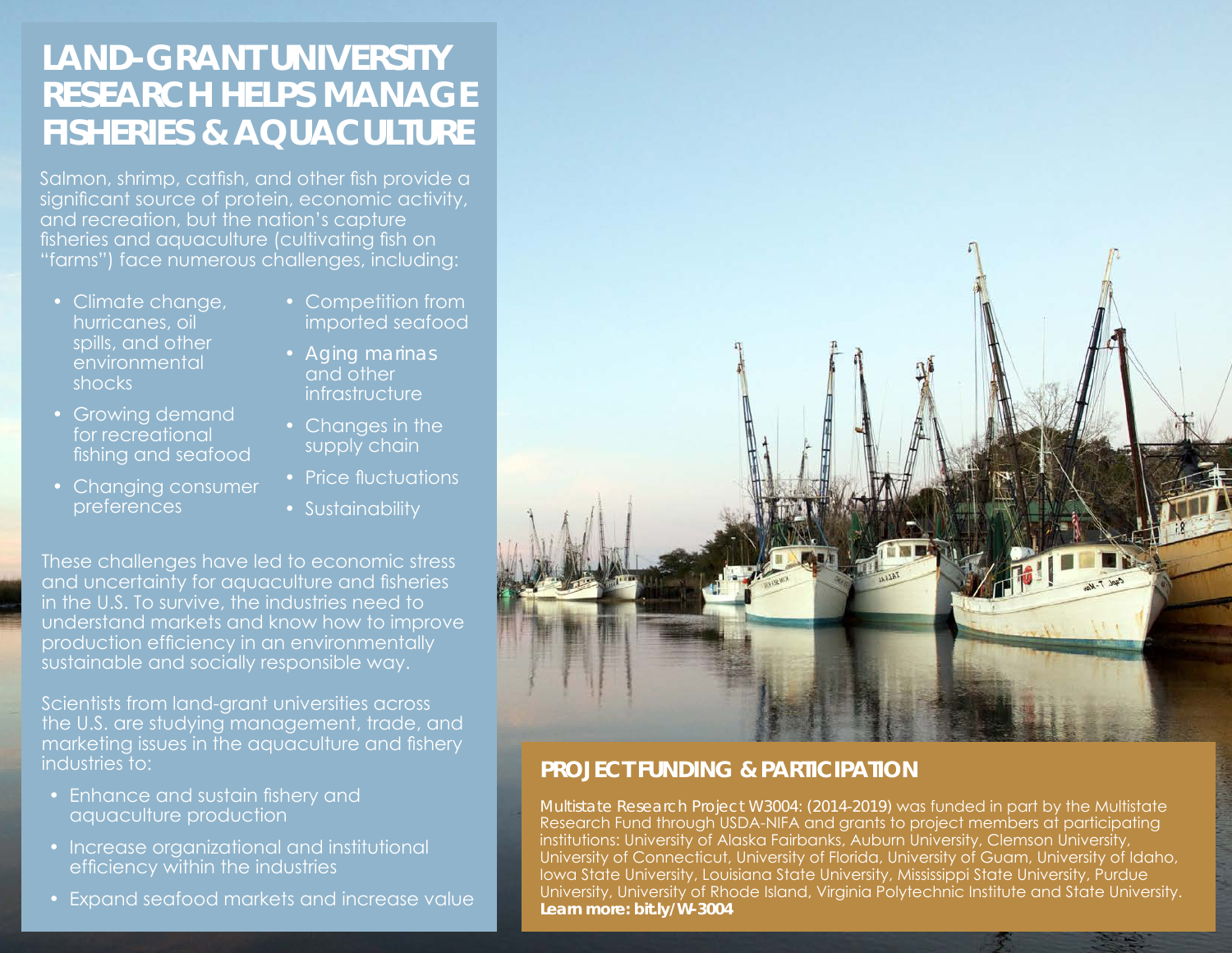# **LAND-GRANT UNIVERSITY RESEARCH HELPS MANAGE FISHERIES & AQUACULTURE**

Salmon, shrimp, catfish, and other fish provide a significant source of protein, economic activity, and recreation, but the nation's capture fisheries and aquaculture (cultivating fish on "farms") face numerous challenges, including:

- Climate change, hurricanes, oil spills, and other environmental shocks
- Growing demand for recreational fishing and seafood
- Changing consumer preferences
- Competition from imported seafood
- Aging marinas and other infrastructure
- Changes in the supply chain
- Price fluctuations
- Sustainability

These challenges have led to economic stress and uncertainty for aquaculture and fisheries in the U.S. To survive, the industries need to understand markets and know how to improve production efficiency in an environmentally sustainable and socially responsible way.

Scientists from land-grant universities across the U.S. are studying management, trade, and marketing issues in the aquaculture and fishery industries to:

- Enhance and sustain fishery and aquaculture production
- Increase organizational and institutional efficiency within the industries
- Expand seafood markets and increase value



# **PROJECT FUNDING & PARTICIPATION**

*Multistate Research Project W3004: (2014-2019)* was funded in part by the Multistate Research Fund through USDA-NIFA and grants to project members at participating institutions: University of Alaska Fairbanks, Auburn University, Clemson University, University of Connecticut, University of Florida, University of Guam, University of Idaho, Iowa State University, Louisiana State University, Mississippi State University, Purdue University, University of Rhode Island, Virginia Polytechnic Institute and State University. *Learn more: [bit.ly/W-3004](http://bit.ly/W-3004)*